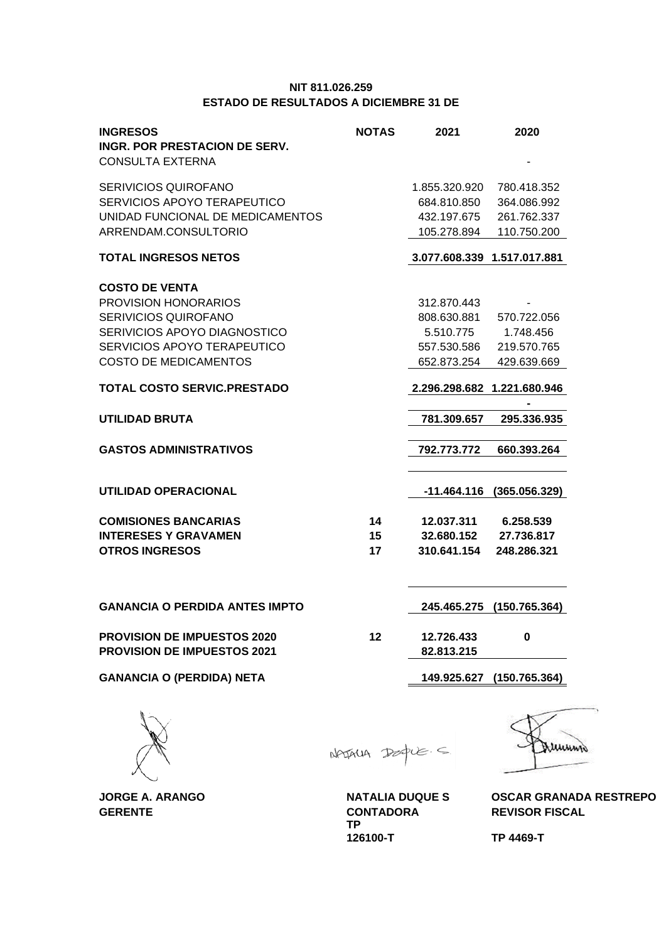## **NIT 811.026.259 ESTADO DE RESULTADOS A DICIEMBRE 31 DE**

| INGRESOS<br>INGR. POR PRESTACION DE SERV.<br><b>CONSULTA EXTERNA</b>                                                                                                 | <b>NOTAS</b>   | 2021                                                                  | 2020                                                     |
|----------------------------------------------------------------------------------------------------------------------------------------------------------------------|----------------|-----------------------------------------------------------------------|----------------------------------------------------------|
| SERIVICIOS QUIROFANO<br>SERVICIOS APOYO TERAPEUTICO<br>UNIDAD FUNCIONAL DE MEDICAMENTOS<br>ARRENDAM.CONSULTORIO                                                      |                | 1.855.320.920<br>684.810.850<br>432.197.675<br>105.278.894            | 780.418.352<br>364.086.992<br>261.762.337<br>110.750.200 |
| TOTAL INGRESOS NETOS                                                                                                                                                 |                | 3.077.608.339 1.517.017.881                                           |                                                          |
| <b>COSTO DE VENTA</b><br>PROVISION HONORARIOS<br>SERIVICIOS QUIROFANO<br>SERIVICIOS APOYO DIAGNOSTICO<br>SERVICIOS APOYO TERAPEUTICO<br><b>COSTO DE MEDICAMENTOS</b> |                | 312.870.443<br>808.630.881<br>5.510.775<br>557.530.586<br>652.873.254 | 570.722.056<br>1.748.456<br>219.570.765<br>429.639.669   |
| <b>TOTAL COSTO SERVIC.PRESTADO</b>                                                                                                                                   |                | 2.296.298.682 1.221.680.946                                           |                                                          |
| UTILIDAD BRUTA                                                                                                                                                       |                | 781.309.657                                                           | 295.336.935                                              |
| GASTOS ADMINISTRATIVOS                                                                                                                                               |                | 792.773.772                                                           | 660.393.264                                              |
| UTILIDAD OPERACIONAL                                                                                                                                                 |                | -11.464.116                                                           | (365.056.329)                                            |
| <b>COMISIONES BANCARIAS</b><br><b>INTERESES Y GRAVAMEN</b><br><b>OTROS INGRESOS</b>                                                                                  | 14<br>15<br>17 | 12.037.311<br>32.680.152<br>310.641.154                               | 6.258.539<br>27.736.817<br>248.286.321                   |
| <b>GANANCIA O PERDIDA ANTES IMPTO</b>                                                                                                                                |                | 245.465.275                                                           | (150.765.364)                                            |
| <b>PROVISION DE IMPUESTOS 2020</b><br><b>PROVISION DE IMPUESTOS 2021</b>                                                                                             | 12             | 12.726.433<br>82.813.215                                              | 0                                                        |
| <b>GANANCIA O (PERDIDA) NETA</b>                                                                                                                                     |                | 149.925.627                                                           | (150.765.364)                                            |
|                                                                                                                                                                      |                |                                                                       |                                                          |

**GERENTE CONTADORA REVISOR FISCAL**

NATALLA Dea  $u \in S$ 

TP<br>126100-T



**JORGE A. ARANGO NATALIA DUQUE S OSCAR GRANADA RESTREPO**

**126100-T TP 4469-T**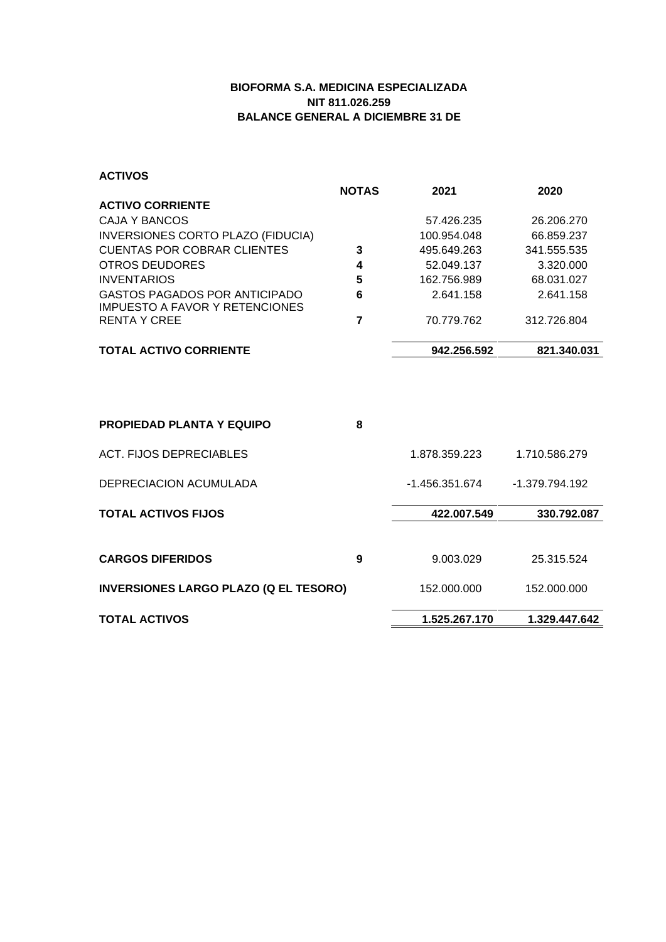## **BIOFORMA S.A. MEDICINA ESPECIALIZADA NIT 811.026.259 BALANCE GENERAL A DICIEMBRE 31 DE**

**ACTIVOS**

|                                                                        | <b>NOTAS</b> | 2021        | 2020        |
|------------------------------------------------------------------------|--------------|-------------|-------------|
| <b>ACTIVO CORRIENTE</b>                                                |              |             |             |
| CAJA Y BANCOS                                                          |              | 57.426.235  | 26.206.270  |
| INVERSIONES CORTO PLAZO (FIDUCIA)                                      |              | 100.954.048 | 66.859.237  |
| <b>CUENTAS POR COBRAR CLIENTES</b>                                     | 3            | 495.649.263 | 341.555.535 |
| OTROS DEUDORES                                                         | 4            | 52.049.137  | 3.320.000   |
| <b>INVENTARIOS</b>                                                     | 5            | 162.756.989 | 68.031.027  |
| <b>GASTOS PAGADOS POR ANTICIPADO</b><br>IMPUESTO A FAVOR Y RETENCIONES | 6            | 2.641.158   | 2.641.158   |
| RENTA Y CREE                                                           | 7            | 70.779.762  | 312.726.804 |
| <b>TOTAL ACTIVO CORRIENTE</b>                                          |              | 942.256.592 | 821.340.031 |
|                                                                        |              |             |             |
|                                                                        |              |             |             |
|                                                                        |              |             |             |
|                                                                        |              |             |             |

| <b>PROPIEDAD PLANTA Y EQUIPO</b>             | 8 |                |                |
|----------------------------------------------|---|----------------|----------------|
| ACT. FIJOS DEPRECIABLES                      |   | 1.878.359.223  | 1.710.586.279  |
| DEPRECIACION ACUMULADA                       |   | -1.456.351.674 | -1.379.794.192 |
| <b>TOTAL ACTIVOS FIJOS</b>                   |   | 422.007.549    | 330.792.087    |
| <b>CARGOS DIFERIDOS</b>                      | 9 | 9.003.029      | 25.315.524     |
| <b>INVERSIONES LARGO PLAZO (Q EL TESORO)</b> |   | 152.000.000    | 152.000.000    |
| <b>TOTAL ACTIVOS</b>                         |   | 1.525.267.170  | 1.329.447.642  |